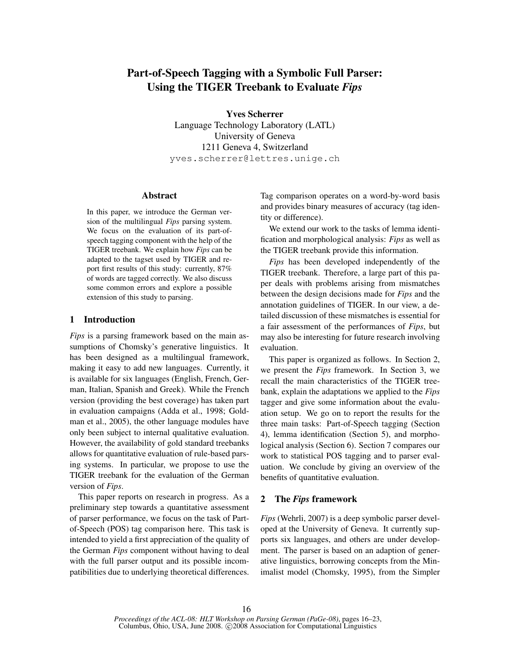# Part-of-Speech Tagging with a Symbolic Full Parser: Using the TIGER Treebank to Evaluate *Fips*

Yves Scherrer

Language Technology Laboratory (LATL) University of Geneva 1211 Geneva 4, Switzerland yves.scherrer@lettres.unige.ch

### Abstract

In this paper, we introduce the German version of the multilingual *Fips* parsing system. We focus on the evaluation of its part-ofspeech tagging component with the help of the TIGER treebank. We explain how *Fips* can be adapted to the tagset used by TIGER and report first results of this study: currently, 87% of words are tagged correctly. We also discuss some common errors and explore a possible extension of this study to parsing.

## 1 Introduction

*Fips* is a parsing framework based on the main assumptions of Chomsky's generative linguistics. It has been designed as a multilingual framework, making it easy to add new languages. Currently, it is available for six languages (English, French, German, Italian, Spanish and Greek). While the French version (providing the best coverage) has taken part in evaluation campaigns (Adda et al., 1998; Goldman et al., 2005), the other language modules have only been subject to internal qualitative evaluation. However, the availability of gold standard treebanks allows for quantitative evaluation of rule-based parsing systems. In particular, we propose to use the TIGER treebank for the evaluation of the German version of *Fips*.

This paper reports on research in progress. As a preliminary step towards a quantitative assessment of parser performance, we focus on the task of Partof-Speech (POS) tag comparison here. This task is intended to yield a first appreciation of the quality of the German *Fips* component without having to deal with the full parser output and its possible incompatibilities due to underlying theoretical differences. Tag comparison operates on a word-by-word basis and provides binary measures of accuracy (tag identity or difference).

We extend our work to the tasks of lemma identification and morphological analysis: *Fips* as well as the TIGER treebank provide this information.

*Fips* has been developed independently of the TIGER treebank. Therefore, a large part of this paper deals with problems arising from mismatches between the design decisions made for *Fips* and the annotation guidelines of TIGER. In our view, a detailed discussion of these mismatches is essential for a fair assessment of the performances of *Fips*, but may also be interesting for future research involving evaluation.

This paper is organized as follows. In Section 2, we present the *Fips* framework. In Section 3, we recall the main characteristics of the TIGER treebank, explain the adaptations we applied to the *Fips* tagger and give some information about the evaluation setup. We go on to report the results for the three main tasks: Part-of-Speech tagging (Section 4), lemma identification (Section 5), and morphological analysis (Section 6). Section 7 compares our work to statistical POS tagging and to parser evaluation. We conclude by giving an overview of the benefits of quantitative evaluation.

# 2 The *Fips* framework

*Fips* (Wehrli, 2007) is a deep symbolic parser developed at the University of Geneva. It currently supports six languages, and others are under development. The parser is based on an adaption of generative linguistics, borrowing concepts from the Minimalist model (Chomsky, 1995), from the Simpler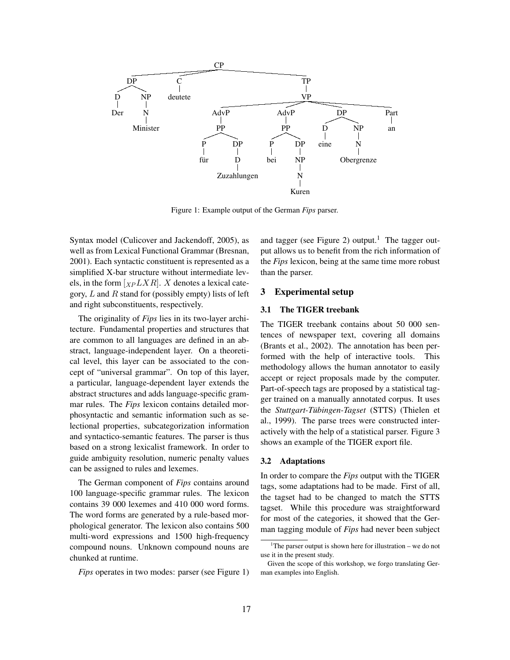

Figure 1: Example output of the German *Fips* parser.

Syntax model (Culicover and Jackendoff, 2005), as well as from Lexical Functional Grammar (Bresnan, 2001). Each syntactic constituent is represented as a simplified X-bar structure without intermediate levels, in the form  $\left[_{XP} LXR \right]$ . X denotes a lexical category,  $L$  and  $R$  stand for (possibly empty) lists of left and right subconstituents, respectively.

The originality of *Fips* lies in its two-layer architecture. Fundamental properties and structures that are common to all languages are defined in an abstract, language-independent layer. On a theoretical level, this layer can be associated to the concept of "universal grammar". On top of this layer, a particular, language-dependent layer extends the abstract structures and adds language-specific grammar rules. The *Fips* lexicon contains detailed morphosyntactic and semantic information such as selectional properties, subcategorization information and syntactico-semantic features. The parser is thus based on a strong lexicalist framework. In order to guide ambiguity resolution, numeric penalty values can be assigned to rules and lexemes.

The German component of *Fips* contains around 100 language-specific grammar rules. The lexicon contains 39 000 lexemes and 410 000 word forms. The word forms are generated by a rule-based morphological generator. The lexicon also contains 500 multi-word expressions and 1500 high-frequency compound nouns. Unknown compound nouns are chunked at runtime.

*Fips* operates in two modes: parser (see Figure 1)

and tagger (see Figure 2) output.<sup>1</sup> The tagger output allows us to benefit from the rich information of the *Fips* lexicon, being at the same time more robust than the parser.

## 3 Experimental setup

#### 3.1 The TIGER treebank

The TIGER treebank contains about 50 000 sentences of newspaper text, covering all domains (Brants et al., 2002). The annotation has been performed with the help of interactive tools. This methodology allows the human annotator to easily accept or reject proposals made by the computer. Part-of-speech tags are proposed by a statistical tagger trained on a manually annotated corpus. It uses the *Stuttgart-Tübingen-Tagset* (STTS) (Thielen et al., 1999). The parse trees were constructed interactively with the help of a statistical parser. Figure 3 shows an example of the TIGER export file.

#### 3.2 Adaptations

In order to compare the *Fips* output with the TIGER tags, some adaptations had to be made. First of all, the tagset had to be changed to match the STTS tagset. While this procedure was straightforward for most of the categories, it showed that the German tagging module of *Fips* had never been subject

<sup>&</sup>lt;sup>1</sup>The parser output is shown here for illustration – we do not use it in the present study.

Given the scope of this workshop, we forgo translating German examples into English.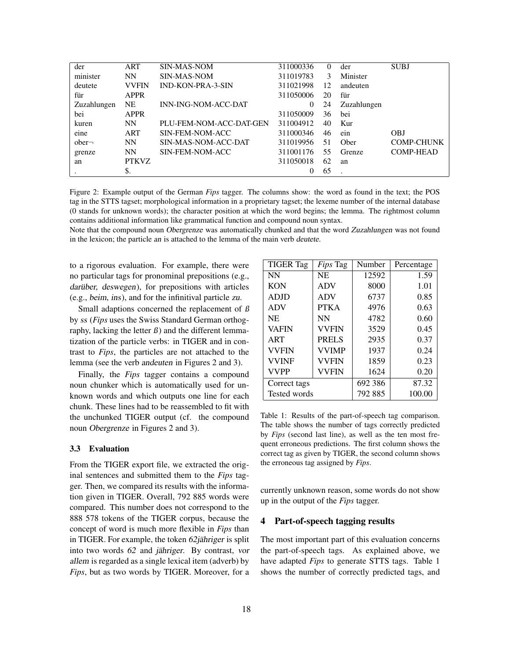| der         | ART          | <b>SIN-MAS-NOM</b>         | 311000336 | 0  | der         | <b>SUBJ</b>       |
|-------------|--------------|----------------------------|-----------|----|-------------|-------------------|
| minister    | <b>NN</b>    | SIN-MAS-NOM                | 311019783 | 3  | Minister    |                   |
| deutete     | <b>VVFIN</b> | <b>IND-KON-PRA-3-SIN</b>   | 311021998 | 12 | andeuten    |                   |
| für         | <b>APPR</b>  |                            | 311050006 | 20 | für         |                   |
| Zuzahlungen | <b>NE</b>    | <b>INN-ING-NOM-ACC-DAT</b> | $\theta$  | 24 | Zuzahlungen |                   |
| bei         | <b>APPR</b>  |                            | 311050009 | 36 | bei         |                   |
| kuren       | NN           | PLU-FEM-NOM-ACC-DAT-GEN    | 311004912 | 40 | Kur         |                   |
| eine        | ART          | SIN-FEM-NOM-ACC            | 311000346 | 46 | ein         | <b>OBJ</b>        |
| $other-$    | <b>NN</b>    | SIN-MAS-NOM-ACC-DAT        | 311019956 | 51 | Ober        | <b>COMP-CHUNK</b> |
| grenze      | <b>NN</b>    | SIN-FEM-NOM-ACC            | 311001176 | 55 | Grenze      | <b>COMP-HEAD</b>  |
| an          | <b>PTKVZ</b> |                            | 311050018 | 62 | an          |                   |
|             | \$.          |                            | $\Omega$  | 65 |             |                   |

Figure 2: Example output of the German *Fips* tagger. The columns show: the word as found in the text; the POS tag in the STTS tagset; morphological information in a proprietary tagset; the lexeme number of the internal database (0 stands for unknown words); the character position at which the word begins; the lemma. The rightmost column contains additional information like grammatical function and compound noun syntax.

Note that the compound noun Obergrenze was automatically chunked and that the word Zuzahlungen was not found in the lexicon; the particle an is attached to the lemma of the main verb deutete.

to a rigorous evaluation. For example, there were no particular tags for pronominal prepositions (e.g., darüber, deswegen), for prepositions with articles (e.g., beim, ins), and for the infinitival particle zu.

Small adaptions concerned the replacement of  $\beta$ by ss (*Fips* uses the Swiss Standard German orthography, lacking the letter  $\beta$ ) and the different lemmatization of the particle verbs: in TIGER and in contrast to *Fips*, the particles are not attached to the lemma (see the verb andeuten in Figures 2 and 3).

Finally, the *Fips* tagger contains a compound noun chunker which is automatically used for unknown words and which outputs one line for each chunk. These lines had to be reassembled to fit with the unchunked TIGER output (cf. the compound noun Obergrenze in Figures 2 and 3).

# 3.3 Evaluation

From the TIGER export file, we extracted the original sentences and submitted them to the *Fips* tagger. Then, we compared its results with the information given in TIGER. Overall, 792 885 words were compared. This number does not correspond to the 888 578 tokens of the TIGER corpus, because the concept of word is much more flexible in *Fips* than in TIGER. For example, the token 62jähriger is split into two words 62 and jähriger. By contrast, vor allem is regarded as a single lexical item (adverb) by *Fips*, but as two words by TIGER. Moreover, for a

| <b>TIGER Tag</b>    | <i>Fips</i> Tag | Number  | Percentage |
|---------------------|-----------------|---------|------------|
| NN                  | <b>NE</b>       | 12592   | 1.59       |
| <b>KON</b>          | <b>ADV</b>      | 8000    | 1.01       |
| <b>ADJD</b>         | <b>ADV</b>      | 6737    | 0.85       |
| <b>ADV</b>          | <b>PTKA</b>     | 4976    | 0.63       |
| <b>NE</b>           | <b>NN</b>       | 4782    | 0.60       |
| <b>VAFIN</b>        | <b>VVFIN</b>    | 3529    | 0.45       |
| ART                 | <b>PRELS</b>    | 2935    | 0.37       |
| <b>VVFIN</b>        | <b>VVIMP</b>    | 1937    | 0.24       |
| <b>VVINF</b>        | <b>VVFIN</b>    | 1859    | 0.23       |
| <b>VVPP</b>         | <b>VVFIN</b>    | 1624    | 0.20       |
| Correct tags        |                 | 692 386 | 87.32      |
| <b>Tested words</b> |                 | 792 885 | 100.00     |

Table 1: Results of the part-of-speech tag comparison. The table shows the number of tags correctly predicted by *Fips* (second last line), as well as the ten most frequent erroneous predictions. The first column shows the correct tag as given by TIGER, the second column shows the erroneous tag assigned by *Fips*.

currently unknown reason, some words do not show up in the output of the *Fips* tagger.

### 4 Part-of-speech tagging results

The most important part of this evaluation concerns the part-of-speech tags. As explained above, we have adapted *Fips* to generate STTS tags. Table 1 shows the number of correctly predicted tags, and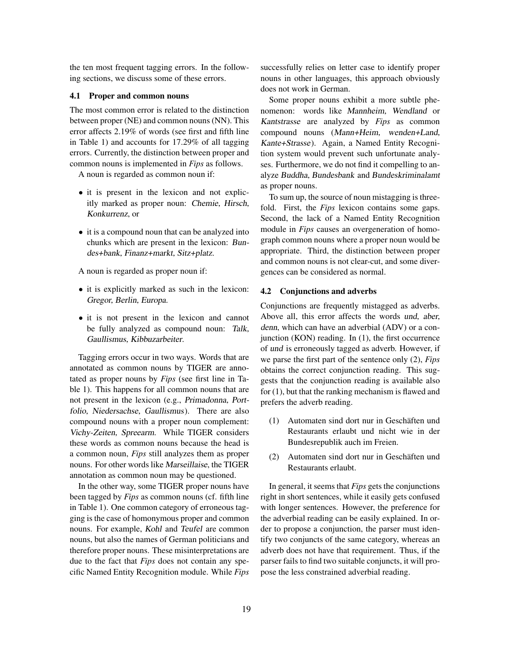the ten most frequent tagging errors. In the following sections, we discuss some of these errors.

# 4.1 Proper and common nouns

The most common error is related to the distinction between proper (NE) and common nouns (NN). This error affects 2.19% of words (see first and fifth line in Table 1) and accounts for 17.29% of all tagging errors. Currently, the distinction between proper and common nouns is implemented in *Fips* as follows.

A noun is regarded as common noun if:

- it is present in the lexicon and not explicitly marked as proper noun: Chemie, Hirsch, Konkurrenz, or
- it is a compound noun that can be analyzed into chunks which are present in the lexicon: Bundes+bank, Finanz+markt, Sitz+platz.

A noun is regarded as proper noun if:

- it is explicitly marked as such in the lexicon: Gregor, Berlin, Europa.
- it is not present in the lexicon and cannot be fully analyzed as compound noun: Talk, Gaullismus, Kibbuzarbeiter.

Tagging errors occur in two ways. Words that are annotated as common nouns by TIGER are annotated as proper nouns by *Fips* (see first line in Table 1). This happens for all common nouns that are not present in the lexicon (e.g., Primadonna, Portfolio, Niedersachse, Gaullismus). There are also compound nouns with a proper noun complement: Vichy-Zeiten, Spreearm. While TIGER considers these words as common nouns because the head is a common noun, *Fips* still analyzes them as proper nouns. For other words like Marseillaise, the TIGER annotation as common noun may be questioned.

In the other way, some TIGER proper nouns have been tagged by *Fips* as common nouns (cf. fifth line in Table 1). One common category of erroneous tagging is the case of homonymous proper and common nouns. For example, Kohl and Teufel are common nouns, but also the names of German politicians and therefore proper nouns. These misinterpretations are due to the fact that *Fips* does not contain any specific Named Entity Recognition module. While *Fips* successfully relies on letter case to identify proper nouns in other languages, this approach obviously does not work in German.

Some proper nouns exhibit a more subtle phenomenon: words like Mannheim, Wendland or Kantstrasse are analyzed by *Fips* as common compound nouns (Mann+Heim, wenden+Land, Kante+Strasse). Again, a Named Entity Recognition system would prevent such unfortunate analyses. Furthermore, we do not find it compelling to analyze Buddha, Bundesbank and Bundeskriminalamt as proper nouns.

To sum up, the source of noun mistagging is threefold. First, the *Fips* lexicon contains some gaps. Second, the lack of a Named Entity Recognition module in *Fips* causes an overgeneration of homograph common nouns where a proper noun would be appropriate. Third, the distinction between proper and common nouns is not clear-cut, and some divergences can be considered as normal.

#### 4.2 Conjunctions and adverbs

Conjunctions are frequently mistagged as adverbs. Above all, this error affects the words und, aber, denn, which can have an adverbial (ADV) or a conjunction (KON) reading. In (1), the first occurrence of und is erroneously tagged as adverb. However, if we parse the first part of the sentence only (2), *Fips* obtains the correct conjunction reading. This suggests that the conjunction reading is available also for (1), but that the ranking mechanism is flawed and prefers the adverb reading.

- (1) Automaten sind dort nur in Geschäften und Restaurants erlaubt und nicht wie in der Bundesrepublik auch im Freien.
- (2) Automaten sind dort nur in Geschäften und Restaurants erlaubt.

In general, it seems that *Fips* gets the conjunctions right in short sentences, while it easily gets confused with longer sentences. However, the preference for the adverbial reading can be easily explained. In order to propose a conjunction, the parser must identify two conjuncts of the same category, whereas an adverb does not have that requirement. Thus, if the parser fails to find two suitable conjuncts, it will propose the less constrained adverbial reading.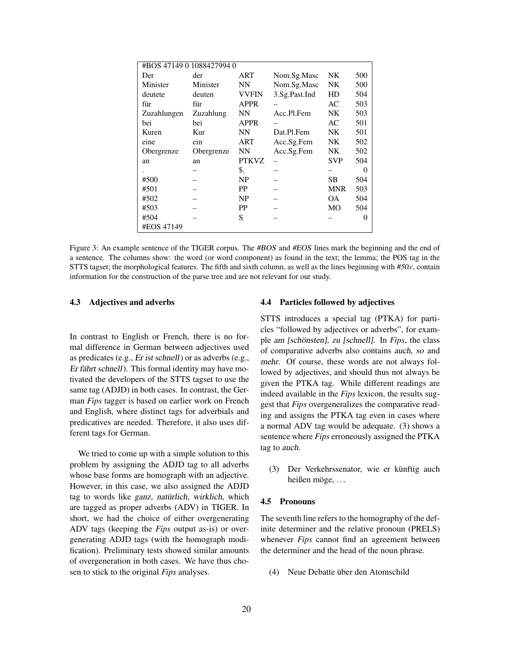| #BOS 47149 0 1088427994 0 |            |              |               |            |          |
|---------------------------|------------|--------------|---------------|------------|----------|
| Der                       | der        | ART          | Nom.Sg.Masc   | NΚ         | 500      |
| Minister                  | Minister   | NN           | Nom.Sg.Masc   | <b>NK</b>  | 500      |
| deutete                   | deuten     | <b>VVFIN</b> | 3.Sg.Past.Ind | HD         | 504      |
| für                       | für        | <b>APPR</b>  |               | AC         | 503      |
| Zuzahlungen               | Zuzahlung  | NN           | Acc.Pl.Fem    | <b>NK</b>  | 503      |
| bei                       | bei        | <b>APPR</b>  |               | AC         | 501      |
| Kuren                     | Kur        | <b>NN</b>    | Dat.Pl.Fem    | NK         | 501      |
| eine                      | ein        | ART          | Acc.Sg.Fem    | NΚ         | 502      |
| Obergrenze                | Obergrenze | NN           | Acc.Sg.Fem    | NΚ         | 502      |
| an                        | an         | <b>PTKVZ</b> |               | <b>SVP</b> | 504      |
|                           |            | \$.          |               |            | 0        |
| #500                      |            | NP           |               | SВ         | 504      |
| #501                      |            | PP           |               | <b>MNR</b> | 503      |
| #502                      |            | NP           |               | OΑ.        | 504      |
| #503                      |            | PP           |               | MО         | 504      |
| #504                      |            | S            |               |            | $\theta$ |
| #EOS 47149                |            |              |               |            |          |

Figure 3: An example sentence of the TIGER corpus. The #BOS and #EOS lines mark the beginning and the end of a sentence. The columns show: the word (or word component) as found in the text; the lemma; the POS tag in the STTS tagset; the morphological features. The fifth and sixth column, as well as the lines beginning with  $#50x$ , contain information for the construction of the parse tree and are not relevant for our study.

## 4.3 Adjectives and adverbs

In contrast to English or French, there is no formal difference in German between adjectives used as predicates (e.g., Er ist schnell) or as adverbs (e.g., Er fährt schnell). This formal identity may have motivated the developers of the STTS tagset to use the same tag (ADJD) in both cases. In contrast, the German *Fips* tagger is based on earlier work on French and English, where distinct tags for adverbials and predicatives are needed. Therefore, it also uses different tags for German.

We tried to come up with a simple solution to this problem by assigning the ADJD tag to all adverbs whose base forms are homograph with an adjective. However, in this case, we also assigned the ADJD tag to words like ganz, natürlich, wirklich, which are tagged as proper adverbs (ADV) in TIGER. In short, we had the choice of either overgenerating ADV tags (keeping the *Fips* output as-is) or overgenerating ADJD tags (with the homograph modification). Preliminary tests showed similar amounts of overgeneration in both cases. We have thus chosen to stick to the original *Fips* analyses.

# 4.4 Particles followed by adjectives

STTS introduces a special tag (PTKA) for particles "followed by adjectives or adverbs", for example am [schönsten], zu [schnell]. In *Fips*, the class of comparative adverbs also contains auch, so and mehr. Of course, these words are not always followed by adjectives, and should thus not always be given the PTKA tag. While different readings are indeed available in the *Fips* lexicon, the results suggest that *Fips* overgeneralizes the comparative reading and assigns the PTKA tag even in cases where a normal ADV tag would be adequate. (3) shows a sentence where *Fips* erroneously assigned the PTKA tag to auch.

(3) Der Verkehrssenator, wie er künftig auch heißen möge, . . .

#### 4.5 Pronouns

The seventh line refers to the homography of the definite determiner and the relative pronoun (PRELS) whenever *Fips* cannot find an agreement between the determiner and the head of the noun phrase.

(4) Neue Debatte über den Atomschild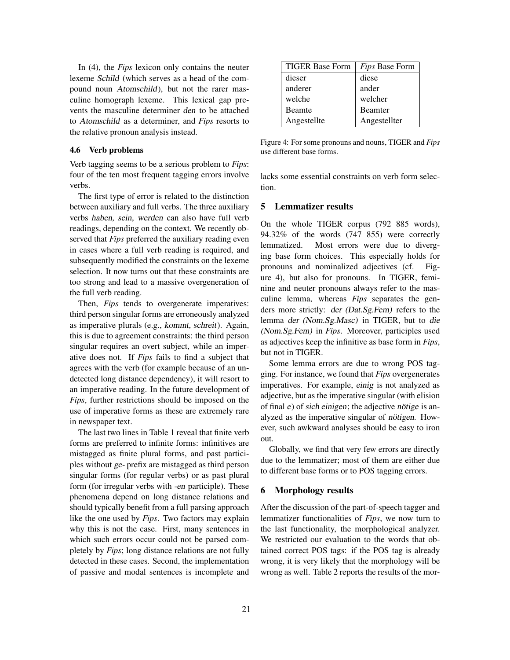In (4), the *Fips* lexicon only contains the neuter lexeme Schild (which serves as a head of the compound noun Atomschild), but not the rarer masculine homograph lexeme. This lexical gap prevents the masculine determiner den to be attached to Atomschild as a determiner, and *Fips* resorts to the relative pronoun analysis instead.

#### 4.6 Verb problems

Verb tagging seems to be a serious problem to *Fips*: four of the ten most frequent tagging errors involve verbs.

The first type of error is related to the distinction between auxiliary and full verbs. The three auxiliary verbs haben, sein, werden can also have full verb readings, depending on the context. We recently observed that *Fips* preferred the auxiliary reading even in cases where a full verb reading is required, and subsequently modified the constraints on the lexeme selection. It now turns out that these constraints are too strong and lead to a massive overgeneration of the full verb reading.

Then, *Fips* tends to overgenerate imperatives: third person singular forms are erroneously analyzed as imperative plurals (e.g., kommt, schreit). Again, this is due to agreement constraints: the third person singular requires an overt subject, while an imperative does not. If *Fips* fails to find a subject that agrees with the verb (for example because of an undetected long distance dependency), it will resort to an imperative reading. In the future development of *Fips*, further restrictions should be imposed on the use of imperative forms as these are extremely rare in newspaper text.

The last two lines in Table 1 reveal that finite verb forms are preferred to infinite forms: infinitives are mistagged as finite plural forms, and past participles without ge- prefix are mistagged as third person singular forms (for regular verbs) or as past plural form (for irregular verbs with -en participle). These phenomena depend on long distance relations and should typically benefit from a full parsing approach like the one used by *Fips*. Two factors may explain why this is not the case. First, many sentences in which such errors occur could not be parsed completely by *Fips*; long distance relations are not fully detected in these cases. Second, the implementation of passive and modal sentences is incomplete and

| <b>TIGER Base Form</b> | Fips Base Form |
|------------------------|----------------|
| dieser                 | diese          |
| anderer                | ander          |
| welche                 | welcher        |
| <b>Beamte</b>          | <b>Beamter</b> |
| Angestellte            | Angestellter   |

Figure 4: For some pronouns and nouns, TIGER and *Fips* use different base forms.

lacks some essential constraints on verb form selection.

# 5 Lemmatizer results

On the whole TIGER corpus (792 885 words), 94.32% of the words (747 855) were correctly lemmatized. Most errors were due to diverging base form choices. This especially holds for pronouns and nominalized adjectives (cf. Figure 4), but also for pronouns. In TIGER, feminine and neuter pronouns always refer to the masculine lemma, whereas *Fips* separates the genders more strictly: der (Dat.Sg.Fem) refers to the lemma der (Nom.Sg.Masc) in TIGER, but to die (Nom.Sg.Fem) in *Fips*. Moreover, participles used as adjectives keep the infinitive as base form in *Fips*, but not in TIGER.

Some lemma errors are due to wrong POS tagging. For instance, we found that *Fips* overgenerates imperatives. For example, einig is not analyzed as adjective, but as the imperative singular (with elision of final e) of sich einigen; the adjective nötige is analyzed as the imperative singular of nötigen. However, such awkward analyses should be easy to iron out.

Globally, we find that very few errors are directly due to the lemmatizer; most of them are either due to different base forms or to POS tagging errors.

# 6 Morphology results

After the discussion of the part-of-speech tagger and lemmatizer functionalities of *Fips*, we now turn to the last functionality, the morphological analyzer. We restricted our evaluation to the words that obtained correct POS tags: if the POS tag is already wrong, it is very likely that the morphology will be wrong as well. Table 2 reports the results of the mor-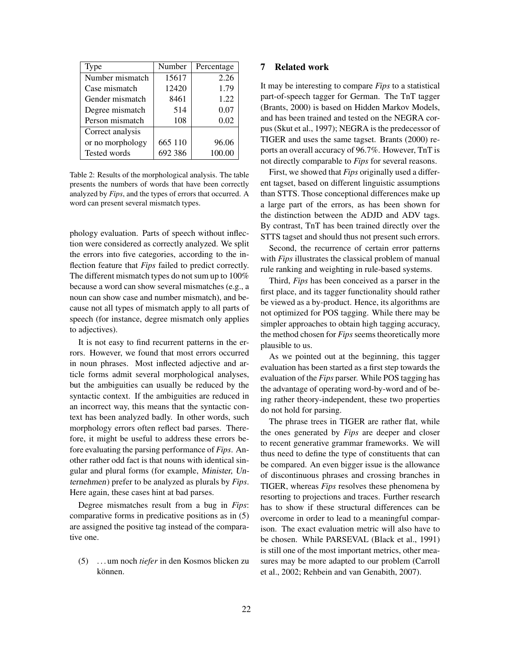| Type             | Number  | Percentage |
|------------------|---------|------------|
| Number mismatch  | 15617   | 2.26       |
| Case mismatch    | 12420   | 1.79       |
| Gender mismatch  | 8461    | 1.22       |
| Degree mismatch  | 514     | 0.07       |
| Person mismatch  | 108     | 0.02       |
| Correct analysis |         |            |
| or no morphology | 665 110 | 96.06      |
| Tested words     | 692 386 | 100.00     |

Table 2: Results of the morphological analysis. The table presents the numbers of words that have been correctly analyzed by *Fips*, and the types of errors that occurred. A word can present several mismatch types.

phology evaluation. Parts of speech without inflection were considered as correctly analyzed. We split the errors into five categories, according to the inflection feature that *Fips* failed to predict correctly. The different mismatch types do not sum up to 100% because a word can show several mismatches (e.g., a noun can show case and number mismatch), and because not all types of mismatch apply to all parts of speech (for instance, degree mismatch only applies to adjectives).

It is not easy to find recurrent patterns in the errors. However, we found that most errors occurred in noun phrases. Most inflected adjective and article forms admit several morphological analyses, but the ambiguities can usually be reduced by the syntactic context. If the ambiguities are reduced in an incorrect way, this means that the syntactic context has been analyzed badly. In other words, such morphology errors often reflect bad parses. Therefore, it might be useful to address these errors before evaluating the parsing performance of *Fips*. Another rather odd fact is that nouns with identical singular and plural forms (for example, Minister, Unternehmen) prefer to be analyzed as plurals by *Fips*. Here again, these cases hint at bad parses.

Degree mismatches result from a bug in *Fips*: comparative forms in predicative positions as in (5) are assigned the positive tag instead of the comparative one.

(5) . . . um noch *tiefer* in den Kosmos blicken zu können.

# 7 Related work

It may be interesting to compare *Fips* to a statistical part-of-speech tagger for German. The TnT tagger (Brants, 2000) is based on Hidden Markov Models, and has been trained and tested on the NEGRA corpus (Skut et al., 1997); NEGRA is the predecessor of TIGER and uses the same tagset. Brants (2000) reports an overall accuracy of 96.7%. However, TnT is not directly comparable to *Fips* for several reasons.

First, we showed that *Fips* originally used a different tagset, based on different linguistic assumptions than STTS. Those conceptional differences make up a large part of the errors, as has been shown for the distinction between the ADJD and ADV tags. By contrast, TnT has been trained directly over the STTS tagset and should thus not present such errors.

Second, the recurrence of certain error patterns with *Fips* illustrates the classical problem of manual rule ranking and weighting in rule-based systems.

Third, *Fips* has been conceived as a parser in the first place, and its tagger functionality should rather be viewed as a by-product. Hence, its algorithms are not optimized for POS tagging. While there may be simpler approaches to obtain high tagging accuracy, the method chosen for *Fips* seems theoretically more plausible to us.

As we pointed out at the beginning, this tagger evaluation has been started as a first step towards the evaluation of the *Fips* parser. While POS tagging has the advantage of operating word-by-word and of being rather theory-independent, these two properties do not hold for parsing.

The phrase trees in TIGER are rather flat, while the ones generated by *Fips* are deeper and closer to recent generative grammar frameworks. We will thus need to define the type of constituents that can be compared. An even bigger issue is the allowance of discontinuous phrases and crossing branches in TIGER, whereas *Fips* resolves these phenomena by resorting to projections and traces. Further research has to show if these structural differences can be overcome in order to lead to a meaningful comparison. The exact evaluation metric will also have to be chosen. While PARSEVAL (Black et al., 1991) is still one of the most important metrics, other measures may be more adapted to our problem (Carroll et al., 2002; Rehbein and van Genabith, 2007).